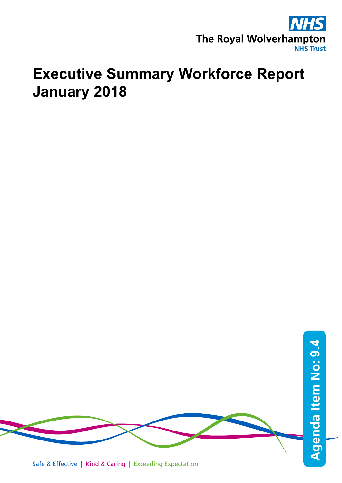

# **Executive Summary Workforce Report January 2018**

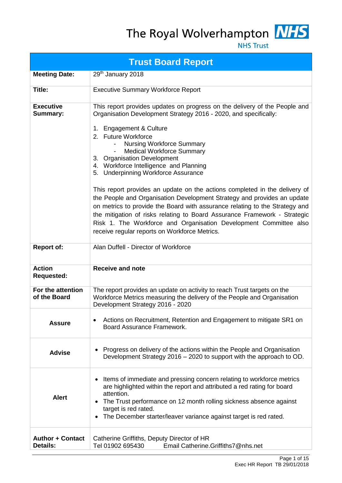## The Royal Wolverhampton MHS



**NHS Trust** 

|                                     | <b>Trust Board Report</b>                                                                                                                                                                                                                                                                                                                                                                                                                                                                                                                                                                                                                                                                                                                                                                                                           |
|-------------------------------------|-------------------------------------------------------------------------------------------------------------------------------------------------------------------------------------------------------------------------------------------------------------------------------------------------------------------------------------------------------------------------------------------------------------------------------------------------------------------------------------------------------------------------------------------------------------------------------------------------------------------------------------------------------------------------------------------------------------------------------------------------------------------------------------------------------------------------------------|
| <b>Meeting Date:</b>                | 29 <sup>th</sup> January 2018                                                                                                                                                                                                                                                                                                                                                                                                                                                                                                                                                                                                                                                                                                                                                                                                       |
| Title:                              | <b>Executive Summary Workforce Report</b>                                                                                                                                                                                                                                                                                                                                                                                                                                                                                                                                                                                                                                                                                                                                                                                           |
| <b>Executive</b><br><b>Summary:</b> | This report provides updates on progress on the delivery of the People and<br>Organisation Development Strategy 2016 - 2020, and specifically:<br>1. Engagement & Culture<br>2. Future Workforce<br><b>Nursing Workforce Summary</b><br><b>Medical Workforce Summary</b><br>3. Organisation Development<br>4. Workforce Intelligence and Planning<br>5. Underpinning Workforce Assurance<br>This report provides an update on the actions completed in the delivery of<br>the People and Organisation Development Strategy and provides an update<br>on metrics to provide the Board with assurance relating to the Strategy and<br>the mitigation of risks relating to Board Assurance Framework - Strategic<br>Risk 1. The Workforce and Organisation Development Committee also<br>receive regular reports on Workforce Metrics. |
| <b>Report of:</b>                   | Alan Duffell - Director of Workforce                                                                                                                                                                                                                                                                                                                                                                                                                                                                                                                                                                                                                                                                                                                                                                                                |
| <b>Action</b><br><b>Requested:</b>  | <b>Receive and note</b>                                                                                                                                                                                                                                                                                                                                                                                                                                                                                                                                                                                                                                                                                                                                                                                                             |
| For the attention<br>of the Board   | The report provides an update on activity to reach Trust targets on the<br>Workforce Metrics measuring the delivery of the People and Organisation<br>Development Strategy 2016 - 2020                                                                                                                                                                                                                                                                                                                                                                                                                                                                                                                                                                                                                                              |
| <b>Assure</b>                       | Actions on Recruitment, Retention and Engagement to mitigate SR1 on<br>Board Assurance Framework.                                                                                                                                                                                                                                                                                                                                                                                                                                                                                                                                                                                                                                                                                                                                   |
| <b>Advise</b>                       | Progress on delivery of the actions within the People and Organisation<br>$\bullet$<br>Development Strategy 2016 - 2020 to support with the approach to OD.                                                                                                                                                                                                                                                                                                                                                                                                                                                                                                                                                                                                                                                                         |
| <b>Alert</b>                        | Items of immediate and pressing concern relating to workforce metrics<br>٠<br>are highlighted within the report and attributed a red rating for board<br>attention.<br>The Trust performance on 12 month rolling sickness absence against<br>$\bullet$<br>target is red rated.<br>The December starter/leaver variance against target is red rated.                                                                                                                                                                                                                                                                                                                                                                                                                                                                                 |
| Author + Contact<br><b>Details:</b> | Catherine Griffiths, Deputy Director of HR<br>Tel 01902 695430<br>Email Catherine.Griffiths7@nhs.net                                                                                                                                                                                                                                                                                                                                                                                                                                                                                                                                                                                                                                                                                                                                |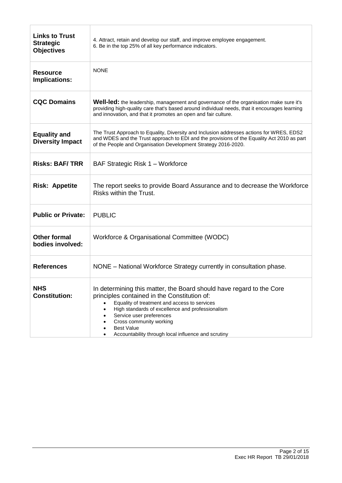| <b>Links to Trust</b><br><b>Strategic</b><br><b>Objectives</b> | 4. Attract, retain and develop our staff, and improve employee engagement.<br>6. Be in the top 25% of all key performance indicators.                                                                                                                                                                                                                       |
|----------------------------------------------------------------|-------------------------------------------------------------------------------------------------------------------------------------------------------------------------------------------------------------------------------------------------------------------------------------------------------------------------------------------------------------|
| <b>Resource</b><br>Implications:                               | <b>NONE</b>                                                                                                                                                                                                                                                                                                                                                 |
| <b>CQC Domains</b>                                             | Well-led: the leadership, management and governance of the organisation make sure it's<br>providing high-quality care that's based around individual needs, that it encourages learning<br>and innovation, and that it promotes an open and fair culture.                                                                                                   |
| <b>Equality and</b><br><b>Diversity Impact</b>                 | The Trust Approach to Equality, Diversity and Inclusion addresses actions for WRES, EDS2<br>and WDES and the Trust approach to EDI and the provisions of the Equality Act 2010 as part<br>of the People and Organisation Development Strategy 2016-2020.                                                                                                    |
| <b>Risks: BAF/TRR</b>                                          | BAF Strategic Risk 1 - Workforce                                                                                                                                                                                                                                                                                                                            |
| <b>Risk: Appetite</b>                                          | The report seeks to provide Board Assurance and to decrease the Workforce<br>Risks within the Trust.                                                                                                                                                                                                                                                        |
| <b>Public or Private:</b>                                      | <b>PUBLIC</b>                                                                                                                                                                                                                                                                                                                                               |
| <b>Other formal</b><br>bodies involved:                        | Workforce & Organisational Committee (WODC)                                                                                                                                                                                                                                                                                                                 |
| <b>References</b>                                              | NONE - National Workforce Strategy currently in consultation phase.                                                                                                                                                                                                                                                                                         |
| <b>NHS</b><br><b>Constitution:</b>                             | In determining this matter, the Board should have regard to the Core<br>principles contained in the Constitution of:<br>Equality of treatment and access to services<br>High standards of excellence and professionalism<br>Service user preferences<br>Cross community working<br><b>Best Value</b><br>Accountability through local influence and scrutiny |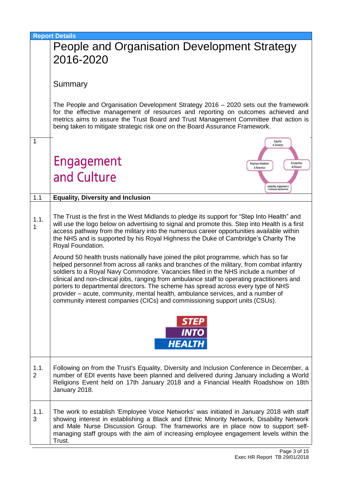|                        | <b>Report Details</b>                                                                                                                                                                                                                                                                                                                                                                                                                                                                                                                                                                                                          |
|------------------------|--------------------------------------------------------------------------------------------------------------------------------------------------------------------------------------------------------------------------------------------------------------------------------------------------------------------------------------------------------------------------------------------------------------------------------------------------------------------------------------------------------------------------------------------------------------------------------------------------------------------------------|
|                        | People and Organisation Development Strategy                                                                                                                                                                                                                                                                                                                                                                                                                                                                                                                                                                                   |
|                        | 2016-2020                                                                                                                                                                                                                                                                                                                                                                                                                                                                                                                                                                                                                      |
|                        | Summary                                                                                                                                                                                                                                                                                                                                                                                                                                                                                                                                                                                                                        |
|                        | The People and Organisation Development Strategy $2016 - 2020$ sets out the framework<br>for the effective management of resources and reporting on outcomes achieved and<br>metrics aims to assure the Trust Board and Trust Management Committee that action is<br>being taken to mitigate strategic risk one on the Board Assurance Framework.                                                                                                                                                                                                                                                                              |
| $\mathbf{1}$           | Equality<br>& Diversity                                                                                                                                                                                                                                                                                                                                                                                                                                                                                                                                                                                                        |
|                        | Engagement<br>Recognition<br><b>Employee Relations</b><br>& Reward<br>& Retention                                                                                                                                                                                                                                                                                                                                                                                                                                                                                                                                              |
|                        | and Culture<br>Leadership, Engagement &                                                                                                                                                                                                                                                                                                                                                                                                                                                                                                                                                                                        |
| 1.1                    | Continuous improvement<br><b>Equality, Diversity and Inclusion</b>                                                                                                                                                                                                                                                                                                                                                                                                                                                                                                                                                             |
|                        |                                                                                                                                                                                                                                                                                                                                                                                                                                                                                                                                                                                                                                |
| 1.1.<br>1              | The Trust is the first in the West Midlands to pledge its support for "Step Into Health" and<br>will use the logo below on advertising to signal and promote this. Step into Health is a first<br>access pathway from the military into the numerous career opportunities available within<br>the NHS and is supported by his Royal Highness the Duke of Cambridge's Charity The<br>Royal Foundation.                                                                                                                                                                                                                          |
|                        | Around 50 health trusts nationally have joined the pilot programme, which has so far<br>helped personnel from across all ranks and branches of the military, from combat infantry<br>soldiers to a Royal Navy Commodore. Vacancies filled in the NHS include a number of<br>clinical and non-clinical jobs, ranging from ambulance staff to operating practitioners and<br>porters to departmental directors. The scheme has spread across every type of NHS<br>provider – acute, community, mental health, ambulance services, and a number of<br>community interest companies (CICs) and commissioning support units (CSUs). |
|                        | <b>INTO</b><br><b>HEALTH</b>                                                                                                                                                                                                                                                                                                                                                                                                                                                                                                                                                                                                   |
| 1.1.<br>$\overline{2}$ | Following on from the Trust's Equality, Diversity and Inclusion Conference in December, a<br>number of EDI events have been planned and delivered during January including a World<br>Religions Event held on 17th January 2018 and a Financial Health Roadshow on 18th<br>January 2018.                                                                                                                                                                                                                                                                                                                                       |
| 1.1.<br>3              | The work to establish 'Employee Voice Networks' was initiated in January 2018 with staff<br>showing interest in establishing a Black and Ethnic Minority Network, Disability Network<br>and Male Nurse Discussion Group. The frameworks are in place now to support self-<br>managing staff groups with the aim of increasing employee engagement levels within the<br>Trust.                                                                                                                                                                                                                                                  |
|                        |                                                                                                                                                                                                                                                                                                                                                                                                                                                                                                                                                                                                                                |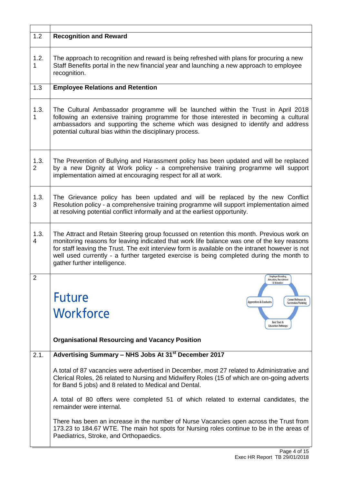| 1.2                    | <b>Recognition and Reward</b>                                                                                                                                                                                                                                                                                                                                                                                          |  |  |  |
|------------------------|------------------------------------------------------------------------------------------------------------------------------------------------------------------------------------------------------------------------------------------------------------------------------------------------------------------------------------------------------------------------------------------------------------------------|--|--|--|
| 1.2.<br>1              | The approach to recognition and reward is being refreshed with plans for procuring a new<br>Staff Benefits portal in the new financial year and launching a new approach to employee<br>recognition.                                                                                                                                                                                                                   |  |  |  |
| 1.3                    | <b>Employee Relations and Retention</b>                                                                                                                                                                                                                                                                                                                                                                                |  |  |  |
| 1.3.<br>1              | The Cultural Ambassador programme will be launched within the Trust in April 2018<br>following an extensive training programme for those interested in becoming a cultural<br>ambassadors and supporting the scheme which was designed to identify and address<br>potential cultural bias within the disciplinary process.                                                                                             |  |  |  |
| 1.3.<br>$\overline{2}$ | The Prevention of Bullying and Harassment policy has been updated and will be replaced<br>by a new Dignity at Work policy - a comprehensive training programme will support<br>implementation aimed at encouraging respect for all at work.                                                                                                                                                                            |  |  |  |
| 1.3.<br>3              | The Grievance policy has been updated and will be replaced by the new Conflict<br>Resolution policy - a comprehensive training programme will support implementation aimed<br>at resolving potential conflict informally and at the earliest opportunity.                                                                                                                                                              |  |  |  |
| 1.3.<br>4              | The Attract and Retain Steering group focussed on retention this month. Previous work on<br>monitoring reasons for leaving indicated that work life balance was one of the key reasons<br>for staff leaving the Trust. The exit interview form is available on the intranet however is not<br>well used currently - a further targeted exercise is being completed during the month to<br>gather further intelligence. |  |  |  |
| $\overline{2}$         | Employer Branding.<br><b>Attraction, Recruitment</b><br>& Retention<br><b>Future</b><br>Career Pathways &<br><b>Apprentices &amp; Graduates</b><br><b>Succession Planning</b><br>Workforce<br>Best Start &<br><b>Education Pathways</b><br><b>Organisational Resourcing and Vacancy Position</b>                                                                                                                       |  |  |  |
| 2.1.                   | Advertising Summary - NHS Jobs At 31 <sup>st</sup> December 2017                                                                                                                                                                                                                                                                                                                                                       |  |  |  |
|                        | A total of 87 vacancies were advertised in December, most 27 related to Administrative and<br>Clerical Roles, 26 related to Nursing and Midwifery Roles (15 of which are on-going adverts<br>for Band 5 jobs) and 8 related to Medical and Dental.<br>A total of 80 offers were completed 51 of which related to external candidates, the                                                                              |  |  |  |
|                        | remainder were internal.<br>There has been an increase in the number of Nurse Vacancies open across the Trust from<br>173.23 to 184.67 WTE. The main hot spots for Nursing roles continue to be in the areas of<br>Paediatrics, Stroke, and Orthopaedics.                                                                                                                                                              |  |  |  |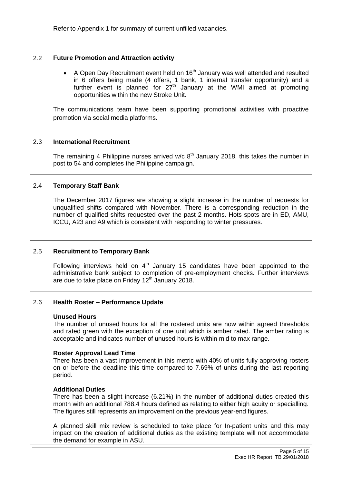|     | Refer to Appendix 1 for summary of current unfilled vacancies.                                                                                                                                                                                                                                                                                        |
|-----|-------------------------------------------------------------------------------------------------------------------------------------------------------------------------------------------------------------------------------------------------------------------------------------------------------------------------------------------------------|
|     |                                                                                                                                                                                                                                                                                                                                                       |
| 2.2 | <b>Future Promotion and Attraction activity</b>                                                                                                                                                                                                                                                                                                       |
|     | • A Open Day Recruitment event held on $16th$ January was well attended and resulted<br>in 6 offers being made (4 offers, 1 bank, 1 internal transfer opportunity) and a<br>further event is planned for $27th$ January at the WMI aimed at promoting<br>opportunities within the new Stroke Unit.                                                    |
|     | The communications team have been supporting promotional activities with proactive<br>promotion via social media platforms.                                                                                                                                                                                                                           |
| 2.3 | <b>International Recruitment</b>                                                                                                                                                                                                                                                                                                                      |
|     | The remaining 4 Philippine nurses arrived $w/c$ 8 <sup>th</sup> January 2018, this takes the number in<br>post to 54 and completes the Philippine campaign.                                                                                                                                                                                           |
| 2.4 | <b>Temporary Staff Bank</b>                                                                                                                                                                                                                                                                                                                           |
|     | The December 2017 figures are showing a slight increase in the number of requests for<br>unqualified shifts compared with November. There is a corresponding reduction in the<br>number of qualified shifts requested over the past 2 months. Hots spots are in ED, AMU,<br>ICCU, A23 and A9 which is consistent with responding to winter pressures. |
| 2.5 | <b>Recruitment to Temporary Bank</b>                                                                                                                                                                                                                                                                                                                  |
|     | Following interviews held on $4th$ January 15 candidates have been appointed to the<br>administrative bank subject to completion of pre-employment checks. Further interviews<br>are due to take place on Friday 12 <sup>th</sup> January 2018.                                                                                                       |
| 2.6 | <b>Health Roster - Performance Update</b>                                                                                                                                                                                                                                                                                                             |
|     | <b>Unused Hours</b><br>The number of unused hours for all the rostered units are now within agreed thresholds<br>and rated green with the exception of one unit which is amber rated. The amber rating is<br>acceptable and indicates number of unused hours is within mid to max range.                                                              |
|     | <b>Roster Approval Lead Time</b><br>There has been a vast improvement in this metric with 40% of units fully approving rosters<br>on or before the deadline this time compared to 7.69% of units during the last reporting<br>period.                                                                                                                 |
|     | <b>Additional Duties</b><br>There has been a slight increase (6.21%) in the number of additional duties created this<br>month with an additional 788.4 hours defined as relating to either high acuity or specialling.<br>The figures still represents an improvement on the previous year-end figures.                                               |
|     | A planned skill mix review is scheduled to take place for In-patient units and this may<br>impact on the creation of additional duties as the existing template will not accommodate<br>the demand for example in ASU.                                                                                                                                |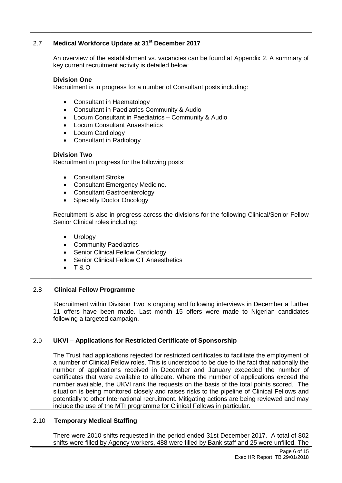| 2.7  | Medical Workforce Update at 31 <sup>st</sup> December 2017                                                                                                                                                                                                                                                                                                                                                                                                                                                                                                                                                                                                                                                                                                   |  |  |  |  |  |
|------|--------------------------------------------------------------------------------------------------------------------------------------------------------------------------------------------------------------------------------------------------------------------------------------------------------------------------------------------------------------------------------------------------------------------------------------------------------------------------------------------------------------------------------------------------------------------------------------------------------------------------------------------------------------------------------------------------------------------------------------------------------------|--|--|--|--|--|
|      | An overview of the establishment vs. vacancies can be found at Appendix 2. A summary of<br>key current recruitment activity is detailed below:                                                                                                                                                                                                                                                                                                                                                                                                                                                                                                                                                                                                               |  |  |  |  |  |
|      | <b>Division One</b><br>Recruitment is in progress for a number of Consultant posts including:                                                                                                                                                                                                                                                                                                                                                                                                                                                                                                                                                                                                                                                                |  |  |  |  |  |
|      | • Consultant in Haematology<br>• Consultant in Paediatrics Community & Audio<br>• Locum Consultant in Paediatrics - Community & Audio<br>• Locum Consultant Anaesthetics<br>• Locum Cardiology<br>• Consultant in Radiology                                                                                                                                                                                                                                                                                                                                                                                                                                                                                                                                  |  |  |  |  |  |
|      | <b>Division Two</b><br>Recruitment in progress for the following posts:                                                                                                                                                                                                                                                                                                                                                                                                                                                                                                                                                                                                                                                                                      |  |  |  |  |  |
|      | <b>Consultant Stroke</b><br>$\bullet$<br>• Consultant Emergency Medicine.<br>• Consultant Gastroenterology<br><b>Specialty Doctor Oncology</b>                                                                                                                                                                                                                                                                                                                                                                                                                                                                                                                                                                                                               |  |  |  |  |  |
|      | Recruitment is also in progress across the divisions for the following Clinical/Senior Fellow<br>Senior Clinical roles including:                                                                                                                                                                                                                                                                                                                                                                                                                                                                                                                                                                                                                            |  |  |  |  |  |
|      | Urology<br>• Community Paediatrics<br>• Senior Clinical Fellow Cardiology<br><b>Senior Clinical Fellow CT Anaesthetics</b><br><b>T&amp;O</b>                                                                                                                                                                                                                                                                                                                                                                                                                                                                                                                                                                                                                 |  |  |  |  |  |
| 2.8  | <b>Clinical Fellow Programme</b>                                                                                                                                                                                                                                                                                                                                                                                                                                                                                                                                                                                                                                                                                                                             |  |  |  |  |  |
|      | Recruitment within Division Two is ongoing and following interviews in December a further<br>11 offers have been made. Last month 15 offers were made to Nigerian candidates<br>following a targeted campaign.                                                                                                                                                                                                                                                                                                                                                                                                                                                                                                                                               |  |  |  |  |  |
| 2.9  | UKVI - Applications for Restricted Certificate of Sponsorship                                                                                                                                                                                                                                                                                                                                                                                                                                                                                                                                                                                                                                                                                                |  |  |  |  |  |
|      | The Trust had applications rejected for restricted certificates to facilitate the employment of<br>a number of Clinical Fellow roles. This is understood to be due to the fact that nationally the<br>number of applications received in December and January exceeded the number of<br>certificates that were available to allocate. Where the number of applications exceed the<br>number available, the UKVI rank the requests on the basis of the total points scored. The<br>situation is being monitored closely and raises risks to the pipeline of Clinical Fellows and<br>potentially to other International recruitment. Mitigating actions are being reviewed and may<br>include the use of the MTI programme for Clinical Fellows in particular. |  |  |  |  |  |
| 2.10 | <b>Temporary Medical Staffing</b>                                                                                                                                                                                                                                                                                                                                                                                                                                                                                                                                                                                                                                                                                                                            |  |  |  |  |  |
|      | There were 2010 shifts requested in the period ended 31st December 2017. A total of 802<br>shifts were filled by Agency workers, 488 were filled by Bank staff and 25 were unfilled. The                                                                                                                                                                                                                                                                                                                                                                                                                                                                                                                                                                     |  |  |  |  |  |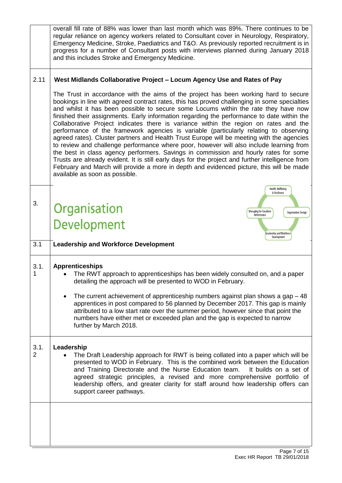|                        | overall fill rate of 88% was lower than last month which was 89%. There continues to be<br>regular reliance on agency workers related to Consultant cover in Neurology, Respiratory,<br>Emergency Medicine, Stroke, Paediatrics and T&O. As previously reported recruitment is in<br>progress for a number of Consultant posts with interviews planned during January 2018<br>and this includes Stroke and Emergency Medicine.                                                                                                                                                                                                                                                                                                                                                                                                                                                                                                                                                                                                                                               |  |  |  |  |
|------------------------|------------------------------------------------------------------------------------------------------------------------------------------------------------------------------------------------------------------------------------------------------------------------------------------------------------------------------------------------------------------------------------------------------------------------------------------------------------------------------------------------------------------------------------------------------------------------------------------------------------------------------------------------------------------------------------------------------------------------------------------------------------------------------------------------------------------------------------------------------------------------------------------------------------------------------------------------------------------------------------------------------------------------------------------------------------------------------|--|--|--|--|
| 2.11                   | West Midlands Collaborative Project - Locum Agency Use and Rates of Pay                                                                                                                                                                                                                                                                                                                                                                                                                                                                                                                                                                                                                                                                                                                                                                                                                                                                                                                                                                                                      |  |  |  |  |
|                        | The Trust in accordance with the aims of the project has been working hard to secure<br>bookings in line with agreed contract rates, this has proved challenging in some specialties<br>and whilst it has been possible to secure some Locums within the rate they have now<br>finished their assignments. Early information regarding the performance to date within the<br>Collaborative Project indicates there is variance within the region on rates and the<br>performance of the framework agencies is variable (particularly relating to observing<br>agreed rates). Cluster partners and Health Trust Europe will be meeting with the agencies<br>to review and challenge performance where poor, however will also include learning from<br>the best in class agency performers. Savings in commission and hourly rates for some<br>Trusts are already evident. It is still early days for the project and further intelligence from<br>February and March will provide a more in depth and evidenced picture, this will be made<br>available as soon as possible. |  |  |  |  |
|                        | Health, Wellbeing<br>& Resilience                                                                                                                                                                                                                                                                                                                                                                                                                                                                                                                                                                                                                                                                                                                                                                                                                                                                                                                                                                                                                                            |  |  |  |  |
| 3.                     | Organisation<br>Managing for Excellent<br><b>Organisation Design</b><br>Performance                                                                                                                                                                                                                                                                                                                                                                                                                                                                                                                                                                                                                                                                                                                                                                                                                                                                                                                                                                                          |  |  |  |  |
|                        | Development<br>Leadership and Workforce<br>Development                                                                                                                                                                                                                                                                                                                                                                                                                                                                                                                                                                                                                                                                                                                                                                                                                                                                                                                                                                                                                       |  |  |  |  |
| 3.1                    | <b>Leadership and Workforce Development</b>                                                                                                                                                                                                                                                                                                                                                                                                                                                                                                                                                                                                                                                                                                                                                                                                                                                                                                                                                                                                                                  |  |  |  |  |
| 3.1.<br>1              | <b>Apprenticeships</b><br>The RWT approach to apprenticeships has been widely consulted on, and a paper<br>detailing the approach will be presented to WOD in February.<br>The current achievement of apprenticeship numbers against plan shows a gap $-48$<br>apprentices in post compared to 56 planned by December 2017. This gap is mainly<br>attributed to a low start rate over the summer period, however since that point the<br>numbers have either met or exceeded plan and the gap is expected to narrow<br>further by March 2018.                                                                                                                                                                                                                                                                                                                                                                                                                                                                                                                                |  |  |  |  |
|                        |                                                                                                                                                                                                                                                                                                                                                                                                                                                                                                                                                                                                                                                                                                                                                                                                                                                                                                                                                                                                                                                                              |  |  |  |  |
| 3.1.<br>$\overline{2}$ | Leadership<br>The Draft Leadership approach for RWT is being collated into a paper which will be<br>presented to WOD in February. This is the combined work between the Education<br>and Training Directorate and the Nurse Education team.<br>It builds on a set of                                                                                                                                                                                                                                                                                                                                                                                                                                                                                                                                                                                                                                                                                                                                                                                                         |  |  |  |  |
|                        | agreed strategic principles, a revised and more comprehensive portfolio of<br>leadership offers, and greater clarity for staff around how leadership offers can<br>support career pathways.                                                                                                                                                                                                                                                                                                                                                                                                                                                                                                                                                                                                                                                                                                                                                                                                                                                                                  |  |  |  |  |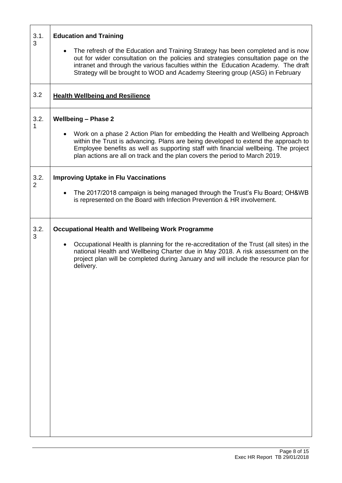| 3.1.<br>3              | <b>Education and Training</b><br>The refresh of the Education and Training Strategy has been completed and is now<br>out for wider consultation on the policies and strategies consultation page on the<br>intranet and through the various faculties within the Education Academy. The draft<br>Strategy will be brought to WOD and Academy Steering group (ASG) in February |
|------------------------|-------------------------------------------------------------------------------------------------------------------------------------------------------------------------------------------------------------------------------------------------------------------------------------------------------------------------------------------------------------------------------|
| 3.2                    | <b>Health Wellbeing and Resilience</b>                                                                                                                                                                                                                                                                                                                                        |
| 3.2.                   | <b>Wellbeing - Phase 2</b><br>Work on a phase 2 Action Plan for embedding the Health and Wellbeing Approach<br>within the Trust is advancing. Plans are being developed to extend the approach to<br>Employee benefits as well as supporting staff with financial wellbeing. The project<br>plan actions are all on track and the plan covers the period to March 2019.       |
| 3.2.<br>$\overline{2}$ | <b>Improving Uptake in Flu Vaccinations</b><br>The 2017/2018 campaign is being managed through the Trust's Flu Board; OH&WB<br>is represented on the Board with Infection Prevention & HR involvement.                                                                                                                                                                        |
| 3.2.<br>3              | <b>Occupational Health and Wellbeing Work Programme</b><br>Occupational Health is planning for the re-accreditation of the Trust (all sites) in the<br>national Health and Wellbeing Charter due in May 2018. A risk assessment on the<br>project plan will be completed during January and will include the resource plan for<br>delivery.                                   |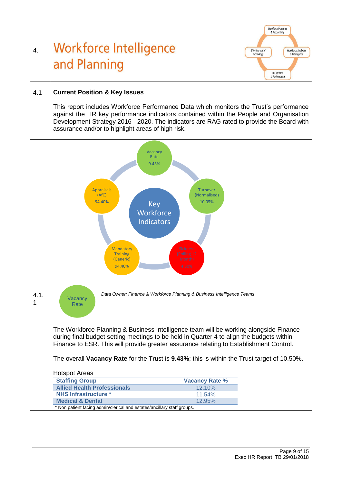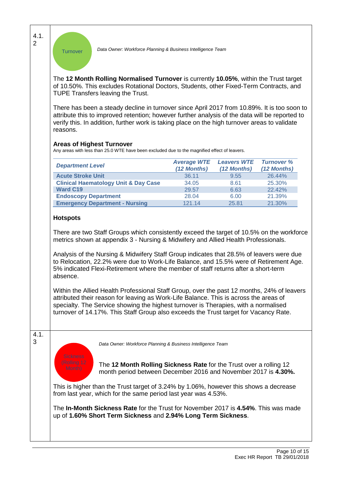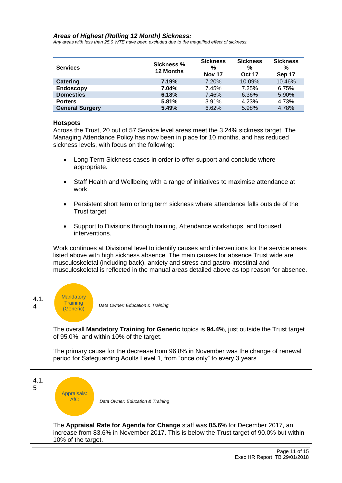#### *Areas of Highest (Rolling 12 Month) Sickness:*

*Any areas with less than 25.0 WTE have been excluded due to the magnified effect of sickness.*

|           | <b>Services</b>                                                                                                                                                                                                                                                                                                                                                                                                                                                                                                                                                                                                                                                                                                                                       | <b>Sickness %</b> | <b>Sickness</b><br>% | <b>Sickness</b><br>% | <b>Sickness</b><br>% |
|-----------|-------------------------------------------------------------------------------------------------------------------------------------------------------------------------------------------------------------------------------------------------------------------------------------------------------------------------------------------------------------------------------------------------------------------------------------------------------------------------------------------------------------------------------------------------------------------------------------------------------------------------------------------------------------------------------------------------------------------------------------------------------|-------------------|----------------------|----------------------|----------------------|
|           |                                                                                                                                                                                                                                                                                                                                                                                                                                                                                                                                                                                                                                                                                                                                                       | 12 Months         | <b>Nov 17</b>        | <b>Oct 17</b>        | Sep 17               |
|           | <b>Catering</b>                                                                                                                                                                                                                                                                                                                                                                                                                                                                                                                                                                                                                                                                                                                                       | 7.19%             | 7.20%                | 10.09%               | 10.46%               |
|           | <b>Endoscopy</b>                                                                                                                                                                                                                                                                                                                                                                                                                                                                                                                                                                                                                                                                                                                                      | 7.04%             | 7.45%                | 7.25%                | 6.75%                |
|           | <b>Domestics</b>                                                                                                                                                                                                                                                                                                                                                                                                                                                                                                                                                                                                                                                                                                                                      | 6.18%             | 7.46%                | 6.36%                | 5.90%                |
|           | <b>Porters</b>                                                                                                                                                                                                                                                                                                                                                                                                                                                                                                                                                                                                                                                                                                                                        | 5.81%             | 3.91%                | 4.23%                | 4.73%                |
|           | <b>General Surgery</b>                                                                                                                                                                                                                                                                                                                                                                                                                                                                                                                                                                                                                                                                                                                                | 5.49%             | 6.62%                | 5.98%                | 4.78%                |
|           |                                                                                                                                                                                                                                                                                                                                                                                                                                                                                                                                                                                                                                                                                                                                                       |                   |                      |                      |                      |
|           | <b>Hotspots</b><br>Across the Trust, 20 out of 57 Service level areas meet the 3.24% sickness target. The<br>Managing Attendance Policy has now been in place for 10 months, and has reduced<br>sickness levels, with focus on the following:<br>Long Term Sickness cases in order to offer support and conclude where<br>appropriate.<br>Staff Health and Wellbeing with a range of initiatives to maximise attendance at<br>work.<br>Persistent short term or long term sickness where attendance falls outside of the<br>$\bullet$<br>Trust target.<br>Support to Divisions through training, Attendance workshops, and focused<br>interventions.<br>Work continues at Divisional level to identify causes and interventions for the service areas |                   |                      |                      |                      |
| 4.1.<br>4 | listed above with high sickness absence. The main causes for absence Trust wide are<br>musculoskeletal (including back), anxiety and stress and gastro-intestinal and<br>musculoskeletal is reflected in the manual areas detailed above as top reason for absence.<br><b>Mandatory</b><br><b>Training</b><br>Data Owner: Education & Training<br>(Generic)                                                                                                                                                                                                                                                                                                                                                                                           |                   |                      |                      |                      |
|           | The overall Mandatory Training for Generic topics is 94.4%, just outside the Trust target<br>of 95.0%, and within 10% of the target.<br>The primary cause for the decrease from 96.8% in November was the change of renewal<br>period for Safeguarding Adults Level 1, from "once only" to every 3 years.                                                                                                                                                                                                                                                                                                                                                                                                                                             |                   |                      |                      |                      |
| 4.1.<br>5 | Appraisals:<br><b>AfC</b><br>Data Owner: Education & Training<br>The Appraisal Rate for Agenda for Change staff was 85.6% for December 2017, an<br>increase from 83.6% in November 2017. This is below the Trust target of 90.0% but within<br>10% of the target.                                                                                                                                                                                                                                                                                                                                                                                                                                                                                     |                   |                      |                      |                      |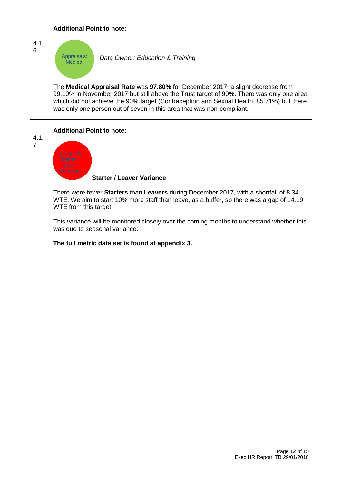|                        | <b>Additional Point to note:</b>                                                                                                                                                                                                                                                                                                                                                                                                                                                                                   |
|------------------------|--------------------------------------------------------------------------------------------------------------------------------------------------------------------------------------------------------------------------------------------------------------------------------------------------------------------------------------------------------------------------------------------------------------------------------------------------------------------------------------------------------------------|
| 4.1.<br>6              | Appraisals:<br>Data Owner: Education & Training<br><b>Medical</b>                                                                                                                                                                                                                                                                                                                                                                                                                                                  |
|                        | The Medical Appraisal Rate was 97.80% for December 2017, a slight decrease from<br>99.10% in November 2017 but still above the Trust target of 90%. There was only one area<br>which did not achieve the 90% target (Contraception and Sexual Health, 85.71%) but there<br>was only one person out of seven in this area that was non-compliant.                                                                                                                                                                   |
| 4.1.<br>$\overline{7}$ | <b>Additional Point to note:</b><br>In month<br>Starter/<br>Leaver<br>variance<br><b>Starter / Leaver Variance</b><br>There were fewer Starters than Leavers during December 2017, with a shortfall of 8.34<br>WTE. We aim to start 10% more staff than leave, as a buffer, so there was a gap of 14.19<br>WTE from this target.<br>This variance will be monitored closely over the coming months to understand whether this<br>was due to seasonal variance.<br>The full metric data set is found at appendix 3. |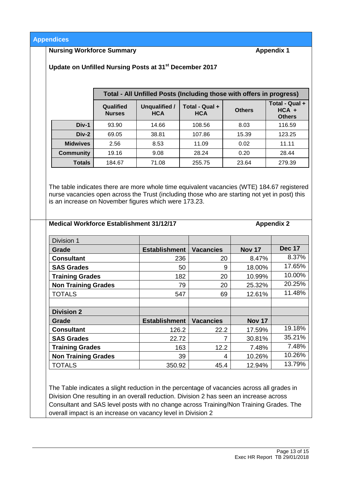**Appendices**

#### **Nursing Workforce Summary Appendix 1**

**Update on Unfilled Nursing Posts at 31st December 2017**

|                  | Total - All Unfilled Posts (Including those with offers in progress) |                             |                              |               |                                            |  |  |
|------------------|----------------------------------------------------------------------|-----------------------------|------------------------------|---------------|--------------------------------------------|--|--|
|                  | Qualified<br><b>Nurses</b>                                           | Unqualified /<br><b>HCA</b> | Total - Qual +<br><b>HCA</b> | <b>Others</b> | Total - Qual +<br>$HCA +$<br><b>Others</b> |  |  |
| Div-1            | 93.90                                                                | 14.66                       | 108.56                       | 8.03          | 116.59                                     |  |  |
| Div-2            | 69.05                                                                | 38.81                       | 107.86                       | 15.39         | 123.25                                     |  |  |
| <b>Midwives</b>  | 2.56                                                                 | 8.53                        | 11.09                        | 0.02          | 11.11                                      |  |  |
| <b>Community</b> | 19.16                                                                | 9.08                        | 28.24                        | 0.20          | 28.44                                      |  |  |
| <b>Totals</b>    | 279.39<br>71.08<br>184.67<br>255.75<br>23.64                         |                             |                              |               |                                            |  |  |

The table indicates there are more whole time equivalent vacancies (WTE) 184.67 registered nurse vacancies open across the Trust (including those who are starting not yet in post) this is an increase on November figures which were 173.23.

**Medical Workforce Establishment 31/12/17 Appendix 2** 

| Division 1                 |                      |                  |               |               |
|----------------------------|----------------------|------------------|---------------|---------------|
| Grade                      | <b>Establishment</b> | <b>Vacancies</b> | <b>Nov 17</b> | <b>Dec 17</b> |
| <b>Consultant</b>          | 236                  | 20               | 8.47%         | 8.37%         |
| <b>SAS Grades</b>          | 50                   | 9                | 18.00%        | 17.65%        |
| <b>Training Grades</b>     | 182                  | 20               | 10.99%        | 10.00%        |
| <b>Non Training Grades</b> | 79                   | 20               | 25.32%        | 20.25%        |
| <b>TOTALS</b>              | 547                  | 69               | 12.61%        | 11.48%        |
|                            |                      |                  |               |               |
| <b>Division 2</b>          |                      |                  |               |               |
| Grade                      | <b>Establishment</b> | <b>Vacancies</b> | <b>Nov 17</b> |               |
| <b>Consultant</b>          | 126.2                | 22.2             | 17.59%        | 19.18%        |
| <b>SAS Grades</b>          | 22.72                | 7                | 30.81%        | 35.21%        |
| <b>Training Grades</b>     | 163                  | 12.2             | 7.48%         | 7.48%         |
| <b>Non Training Grades</b> | 39                   | 4                | 10.26%        | 10.26%        |
| <b>TOTALS</b>              | 350.92               | 45.4             | 12.94%        | 13.79%        |

The Table indicates a slight reduction in the percentage of vacancies across all grades in Division One resulting in an overall reduction. Division 2 has seen an increase across Consultant and SAS level posts with no change across Training/Non Training Grades. The overall impact is an increase on vacancy level in Division 2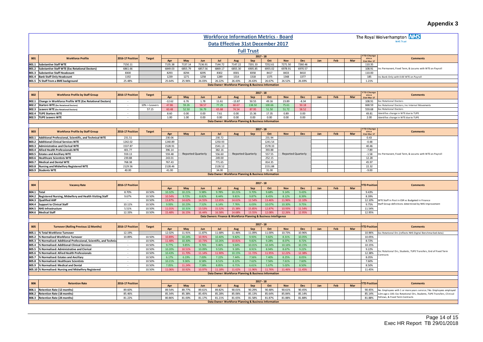### **Appendix 3**

|                |                                                                            |                         |                  |                  |                           |                 |                                                                   |                 |                           |                                                                  |                  |                           |     |     |     |                                           | <b>Appendix 3</b>                                                                                        |
|----------------|----------------------------------------------------------------------------|-------------------------|------------------|------------------|---------------------------|-----------------|-------------------------------------------------------------------|-----------------|---------------------------|------------------------------------------------------------------|------------------|---------------------------|-----|-----|-----|-------------------------------------------|----------------------------------------------------------------------------------------------------------|
|                |                                                                            |                         |                  |                  |                           |                 | <b>Workforce Information Metrics - Board</b>                      |                 |                           |                                                                  |                  |                           |     |     |     |                                           | The Royal Wolverhampton NHS                                                                              |
|                |                                                                            |                         |                  |                  |                           |                 | Data Effective 31st December 2017                                 |                 |                           |                                                                  |                  |                           |     |     |     |                                           | <b>NIHS Truct</b>                                                                                        |
|                |                                                                            |                         |                  |                  |                           |                 |                                                                   |                 | <b>Full Trust</b>         |                                                                  |                  |                           |     |     |     |                                           |                                                                                                          |
| <b>B01</b>     | <b>Workforce Profile</b>                                                   | <b>2016-17 Position</b> | <b>Target</b>    |                  | May                       | <b>Jun</b>      | Jul                                                               |                 |                           | $2017 - 18$<br>Oct                                               | <b>Nov</b>       | <b>Dec</b>                | Jan | Feb | Mar | <b>YTD Chang</b><br>since                 | <b>Comments</b>                                                                                          |
| B01.1          | <b>Substantive Staff WTE</b>                                               | 7150.11                 |                  | Apr<br>7135.38   | 7137.14                   | 7136.91         | 7144.72                                                           | Aug<br>7147.22  | Sep<br>7201.33            | 7252.61                                                          | 7271.50          | 7260.46                   |     |     |     | <b>31st Mar 17</b><br>110.35              |                                                                                                          |
| B01.2          | Substantive Staff WTE (Exc Rotational Doctors)                             | 6861.66                 |                  | 6849.03          | 6855.79                   | 6857.56         | 6869.17                                                           | 6855.30         | 6905.85                   | 6955.02                                                          | 6978.91          | 6970.57                   |     |     |     | 108.91                                    | Inc Permanent, Fixed Term, & Locums with WTE on Payroll                                                  |
| B01.3          | <b>Substantive Staff Headcount</b>                                         | 8300                    |                  | 8293             | 8294                      | 8295            | 8302                                                              | 8301            | 8358                      | 8417                                                             | 8433             | 8410                      |     |     |     | 110.00                                    |                                                                                                          |
| B01.4          | <b>Bank Staff Only Headcount</b>                                           | 1192                    |                  | 1239             | 1271                      | 1258            | 1289                                                              | 1314            | 1318                      | 1375                                                             | 1348             | 1377                      |     |     |     | 185                                       | Inc Bank Only with 0.00 WTE on Payroll                                                                   |
|                | B01.5 % Staff from a BME background                                        | 25.48%                  |                  | 25.64%           | 25.96%                    | 26.03%          | 26.22%<br>Data Owner: Workforce Planning & Business Information   | 26.43%          | 26.63%                    | 26.67%                                                           | 26.52%           | 26.69%                    |     |     |     | 1.21%                                     |                                                                                                          |
|                |                                                                            |                         |                  |                  |                           |                 |                                                                   |                 |                           |                                                                  |                  |                           |     |     |     |                                           |                                                                                                          |
| <b>B02</b>     | <b>Workforce Profile by Staff Group</b>                                    | 2016-17 Position        | <b>Target</b>    | Apr              | May                       | Jun             | Jul                                                               | Aug             | Sep                       | $2017 - 18$<br>Oct                                               | <b>Nov</b>       | <b>Dec</b>                | Jan | Feb | Mar | <b>YTD Change</b><br>since<br>31st Mar 17 | Comments                                                                                                 |
| B02.1          | Change in Workforce Profile WTE (Exc Rotational Doctors)                   |                         |                  | $-12.62$         | 6.76                      | 1.78            | 11.61                                                             | $-13.87$        | 50.55                     | 49.16                                                            | 23.89            | $-8.34$                   |     |     |     | 108.91                                    | <b>Exc Rotational Doctors</b>                                                                            |
| B02.2          | Starters WTE (Exc Rotational Doctors)                                      | $\sim$                  | $10\%$ > Leavers | 47.86            | 59.26                     | 58.57           | 77.29                                                             | 60.67           | 138.50                    | 100.66                                                           | 75.61            | 50.18                     |     |     |     | 668.59                                    | Exc Rotational Doctors: Inc Internal Movements                                                           |
| B02.3          | Leavers WTE (Exc Rotational Doctors)                                       |                         | 57.15            | 60.48            | 52.50                     | 56.79           | 65.68                                                             | 74.54           | 87.95                     | 51.50                                                            | 51.72            | 58.52                     |     |     |     | 559.68                                    | xc Rotational Doctors                                                                                    |
| B02.4          | <b>TUPE Starters WTE</b>                                                   |                         |                  | 8.60             | 0.00                      | 0.00            | 7.61                                                              | 0.00            | 15.36                     | 17.35                                                            | 0.89             | 0.00                      |     |     |     | 49.81                                     | dentifies change in WTE due to TUPE                                                                      |
|                | B02.5 TUPE Leavers WTE                                                     |                         |                  | 1.00             | 1.00                      | 0.00            | 0.00                                                              | 0.00            | 0.00                      | 0.00                                                             | 0.00             | 0.00                      |     |     |     | 2.00                                      | Identifies change in WTE due to TUPE                                                                     |
|                |                                                                            |                         |                  |                  |                           |                 | Data Owner: Workforce Planning & Business Information             |                 |                           |                                                                  |                  |                           |     |     |     |                                           |                                                                                                          |
|                |                                                                            |                         |                  |                  |                           |                 |                                                                   |                 |                           | $2017 - 18$                                                      |                  |                           |     |     |     | TD Change                                 |                                                                                                          |
| <b>B03</b>     | <b>Workforce Profile by Staff Group</b>                                    | 2016-17 Position        | <b>Target</b>    | Apr              | May                       | Jun             | Jul                                                               | Aug             | Sep                       | Oct                                                              | <b>Nov</b>       | <b>Dec</b>                | Jan | Feb | Mar | since<br>1st Mar 17                       | <b>Comments</b>                                                                                          |
| B03.1          | Additional Professional, Scientific, and Technical WTE                     | 231.51                  |                  | 230.06           |                           |                 | 230.72                                                            |                 |                           | 231.94                                                           |                  |                           |     |     |     | 0.43                                      |                                                                                                          |
| B03.2          | <b>Additional Clinical Services WTE</b>                                    | 1242.02                 |                  | 1240.89          |                           |                 | 1250.93                                                           |                 |                           | 1241.54                                                          |                  |                           |     |     |     | $-0.48$                                   |                                                                                                          |
| B03.3          | Administrative and Clerical WTE                                            | 1537.87                 |                  | 1528.91          |                           |                 | 1541.13                                                           |                 |                           | 1578.33                                                          |                  |                           |     |     |     | 40.46                                     |                                                                                                          |
| B03.4<br>B03.5 | Allied Health Professionals WTE<br><b>Estates and Ancillary WTE</b>        | 401.77<br>559.13        |                  | 396.14<br>559.48 | <b>Reported Quarterly</b> |                 | 382.16<br>556.60                                                  |                 | <b>Reported Quarterly</b> | 393.88<br>557.55                                                 |                  | <b>Reported Quarterly</b> |     |     |     | $-7.89$<br>$-1.58$                        | Inc Permanent, Fixed Term, & Locums with WTE on Payroll                                                  |
| B03.6          | <b>Healthcare Scientists WTE</b>                                           | 239.88                  |                  | 243.01           |                           |                 | 249.00                                                            |                 |                           | 252.15                                                           |                  |                           |     |     |     | 12.28                                     |                                                                                                          |
| B03.7          | Medical and Dental WTE                                                     | 768.38                  |                  | 767.43           |                           |                 | 771.65                                                            |                 |                           | 814.35                                                           |                  |                           |     |     |     | 45.97                                     |                                                                                                          |
|                | B03.8 Nursing and Midwifery Registered WTE                                 | 2129.56                 |                  | 2128.46          |                           |                 | 2128.52                                                           |                 |                           | 2151.88                                                          |                  |                           |     |     |     | 22.32                                     |                                                                                                          |
|                | B03.9 Students WTE                                                         | 40.00                   |                  | 41.00            |                           |                 | 34.00                                                             |                 |                           | 31.00                                                            |                  |                           |     |     |     | $-9.00$                                   |                                                                                                          |
|                |                                                                            |                         |                  |                  |                           |                 | Data Owner: Workforce Planning & Business Information             |                 |                           |                                                                  |                  |                           |     |     |     |                                           |                                                                                                          |
|                |                                                                            |                         |                  |                  |                           |                 |                                                                   |                 |                           | $2017 - 18$                                                      |                  |                           |     |     |     |                                           |                                                                                                          |
| <b>B04</b>     | <b>Vacancy Rate</b>                                                        | 2016-17 Position        |                  | Apr              | May                       | Jun             | Jul                                                               | Aug             | Sep                       | Oct                                                              | <b>Nov</b>       | <b>Dec</b>                | Jan | Feb | Mar | <b>TD Position</b>                        | <b>Comments</b>                                                                                          |
| B04.1 Total    |                                                                            | 8.70%                   | 10.50%           | 10.32%           | 10.21%                    | 9.98%           | 9.78%                                                             | 10.21%          | 9.70%                     | 9.68%                                                            | 9.14%            | 9.43%                     |     |     |     | 9.43%                                     |                                                                                                          |
| B04.2          | Registered Nursing, Midwifery and Health Visiting Staff                    | 9.67%                   | 10.50%           | 10.54%           | 9.72%                     | 8.82%           | 8.44%                                                             | 9.81%           | 9.87%                     | 8.45%                                                            | 8.12%            | 8.39%                     |     |     |     | 8.39%                                     |                                                                                                          |
|                | B04.3 Qualified AHP<br>B04.4 Support to Clinical Staff                     | 10.11%                  | 10.50%<br>10.50% | 13.87%<br>9.93%  | 14.62%<br>10.23%          | 14.55%<br>7.52% | 12.65%<br>6.14%                                                   | 14.61%<br>7.76% | 12.54%<br>6.03%           | 13.46%<br>10.07%                                                 | 11.96%<br>10.30% | 12.10%<br>9.75%           |     |     |     | 12.10%<br>9.75%                           | WTE Staff in Post in ESR vs Budgeted in Finance<br>Staff Group definitions determined by NHS Improvement |
| B04.5          | <b>NHS Infrastructure</b>                                                  | 5.51%                   | 10.50%           | 11.01%           | 10.31%                    | 13.53%          | 15.52%                                                            | 15.38%          | 15.85%                    | 12.87%                                                           | 10.93%           | 11.54%                    |     |     |     | 11.54%                                    |                                                                                                          |
|                | B04.6 Medical Staff                                                        | 12.33%                  | 10.50%           | 15.48%           | 16.15%                    | 16.44%          | 16.58%                                                            | 14.68%          | 13.55%                    | 12.08%                                                           | 12.26%           | 12.95%                    |     |     |     | 12.95%                                    |                                                                                                          |
|                |                                                                            |                         |                  |                  |                           |                 | Data Owners: Finance & Workforce Planning & Business Intelligence |                 |                           |                                                                  |                  |                           |     |     |     |                                           |                                                                                                          |
|                |                                                                            |                         |                  |                  |                           |                 |                                                                   |                 |                           |                                                                  |                  |                           |     |     |     |                                           |                                                                                                          |
| <b>B05</b>     | <b>Turnover (Rolling Previous 12 Months)</b>                               | 2016-17 Position        | <b>Target</b>    |                  |                           |                 |                                                                   |                 |                           | $2017 - 18$                                                      |                  |                           |     |     |     | <b>TD Position</b>                        | <b>Comments</b>                                                                                          |
| B05.1          | % Total Workforce Turnover                                                 | 12.19%                  |                  | Apr<br>12.02%    | May<br>11.91%             | Jun<br>11.87%   | Jul<br>11.68%                                                     | Aug<br>11.46%   | Sep<br>11.09%             | Oct<br>11.00%                                                    | Nov<br>10.73%    | Dec<br>10.96%             | Jan | Feb | Mar | 10.96%                                    | Exc Rotational Drs (reflects NHS Digital Benchmarked data)                                               |
| B05.2          | % Normalised Workforce Turnover                                            | 10.89%                  | 10.50%           | 10.89%           | 10.24%                    | 10.95%          | 10.40%                                                            | 9.82%           | 9.93%                     | 9.82%                                                            | 8.31%            | 10.05%                    |     |     |     | 10.05%                                    |                                                                                                          |
| B05.3          | % Normalised: Additional Professional, Scientific, and Technica            | $\sim$                  | 10.50%           | 11.48%           | 10.30%                    | 10.73%          | 10.26%                                                            | 10.81%          | 9.82%                     | 9.28%                                                            | 8.07%            | 8.72%                     |     |     |     | 8.72%                                     |                                                                                                          |
| B05.4          | % Normalised: Additional Clinical Services                                 | $\sim$                  | 10.50%           | 9.77%            | 9.85%                     | 9.76%           | 9.46%                                                             | 9.64%           | 10.01%                    | 10.34%                                                           | 10.16%           | 10.15%                    |     |     |     | 10.15%                                    |                                                                                                          |
| B05.5          | % Normalised: Administrative and Clerical                                  | $\sim$                  | 10.50%           | 10.20%           | 10.51%                    | 10.09%          | 9.53%                                                             | 9.18%           | 8.91%                     | 8.94%                                                            | 8.67%            | 9.22%                     |     |     |     | 9.22%                                     | xc Rotational Drs, Students, TUPE Transfers, End of Fixed Term                                           |
| B05.6          | % Normalised: Allied Health Professionals                                  |                         | 10.50%           | 10.43%           | 11.70%                    | 11.14%          | 11.90%                                                            | 10.15%          | 11.72%                    | 11.95%                                                           | 12.22%           | 12.38%                    |     |     |     | 12.38%                                    | Contracts                                                                                                |
| B05.7          | % Normalised: Estates and Ancillary<br>% Normalised: Healthcare Scientists |                         | 10.50%<br>10.50% | 6.17%            | 6.19%                     | 7.00%<br>8.58%  | 7.22%                                                             | 7.44%           | 7.56%                     | 7.40%                                                            | 8.25%<br>7.61%   | 8.05%<br>7.60%            |     |     |     | 8.05%<br>7.60%                            |                                                                                                          |
| B05.8<br>B05.9 | % Normalised: Medical and Dental                                           |                         | 10.50%           | 10.21%<br>7.05%  | 9.36%<br>11.24%           | 7.58%           | 8.51%<br>8.85%                                                    | 8.22%<br>6.71%  | 7.62%<br>6.61%            | 7.56%<br>5.67%                                                   | 5.02%            | 8.50%                     |     |     |     | 8.50%                                     |                                                                                                          |
|                | B05.10 % Normalised: Nursing and Midwifery Registered                      |                         | 10.50%           | 11.06%           | 10.92%                    | 10.97%          | 11.18%                                                            | 11.62%          | 11.96%                    | 11.76%                                                           | 11.46%           | 11.45%                    |     |     |     | 11.45%                                    |                                                                                                          |
|                |                                                                            |                         |                  |                  |                           |                 | Data Owner: Workforce Planning & Business Information             |                 |                           |                                                                  |                  |                           |     |     |     |                                           |                                                                                                          |
|                |                                                                            |                         |                  |                  |                           |                 |                                                                   |                 |                           |                                                                  |                  |                           |     |     |     |                                           |                                                                                                          |
| <b>B06</b>     | <b>Retention Rate</b>                                                      | 2016-17 Position        |                  | Apr              | May                       | Jun             | Jul                                                               | Aug             | Sep                       | $2017 - 18$<br>Oct                                               | <b>Nov</b>       | Dec                       | Jan | Feb | Mar | <b>TD Position</b>                        | <b>Comments</b>                                                                                          |
| B06.1          | Retention Rate (12 months)                                                 | 89.60%                  |                  | 89.54%           | 89.77%                    | 89.61%          | 89.82%                                                            | 90.01%          | 90.29%                    | 90.48%                                                           | 90.61%           | 90.45%                    |     |     |     | 90.45%                                    | No. Employees with 1 or more years service / No. Employees employed                                      |
| B06.2          | <b>Retention Rate (18 months)</b>                                          | 85.46%                  |                  | 85.34%           | 85.38%                    | 85.45%          | 85.28%                                                            | 85.06%          | 85.13%                    | 85.64%                                                           | 85.84%           | 85.14%                    |     |     |     | 85.14%                                    | 12m ago x 100. Exc Rotational Drs, Students, TUPE Transfers, Clinical                                    |
|                | B06.3 Retention Rate (24 months)                                           | 81.22%                  |                  | 80.86%           | 81.00%                    | 81.17%          | 81.21%                                                            | 81.65%          | 81.58%                    | 81.87%                                                           | 81.88%           | 81.88%                    |     |     |     | 81.88%                                    | Fellows, & Fixed Term Contracts                                                                          |
|                |                                                                            |                         |                  |                  |                           |                 |                                                                   |                 |                           | <b>Data Owner: Workforce Planning &amp; Business Information</b> |                  |                           |     |     |     |                                           |                                                                                                          |